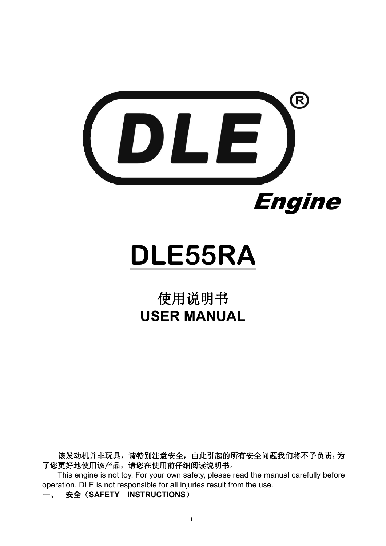

# **DLE55RA**

## 使用说明书 **USER MANUAL**

该发动机并非玩具,请特别注意安全,由此引起的所有安全问题我们将不予负责;为 了您更好地使用该产品,请您在使用前仔细阅读说明书。 This engine is not toy. For your own safety, please read the manual carefully before

operation. DLE is not responsible for all injuries result from the use.

一、 安全(**SAFETY INSTRUCTIONS**)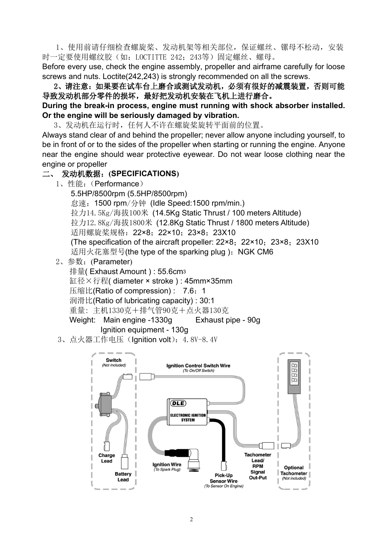1、使用前请仔细检查螺旋桨、发动机架等相关部位,保证螺丝、镙母不松动,安装 时一定要使用螺纹胶(如: LOCTITTE 242; 243等)固定螺丝、螺母。

Before every use, check the engine assembly, propeller and airframe carefully for loose screws and nuts. Loctite(242,243) is strongly recommended on all the screws.

2、请注意:如果要在试车台上磨合或测试发动机,必须有很好的减震装置,否则可能 导致发动机部分零件的损坏,最好把发动机安装在飞机上进行磨合。

**During the break-in process, engine must running with shock absorber installed. Or the engine will be seriously damaged by vibration.**

3、发动机在运行时,任何人不许在螺旋桨旋转平面前的位置。

Always stand clear of and behind the propeller; never allow anyone including yourself, to be in front of or to the sides of the propeller when starting or running the engine. Anyone near the engine should wear protective eyewear. Do not wear loose clothing near the engine or propeller

#### 二、 发动机数据:**(SPECIFICATIONS)**

1、性能:(Performance)

5.5HP/8500rpm (5.5HP/8500rpm) 怠速:1500 rpm/分钟 (Idle Speed:1500 rpm/min.) 拉力14.5Kg/海拔100米 (14.5Kg Static Thrust / 100 meters Altitude) 拉力12.8Kg/海拔1800米 (12.8Kg Static Thrust / 1800 meters Altitude) 适用螺旋桨规格: 22×8; 22×10; 23×8; 23X10 (The specification of the aircraft propeller:  $22\times8$ ;  $22\times10$ ;  $23\times8$ ; 23X10 适用火花塞型号(the type of the sparking plug): NGK CM6

2、参数:(Parameter)

排量( Exhaust Amount ) : 55.6cm<sup>3</sup> 缸径×行程( diameter × stroke ) : 45mm×35mm 压缩比(Ratio of compression): 7.6: 1 润滑比(Ratio of lubricating capacity) : 30:1 重量: 主机1330克+排气管90克+点火器130克 Weight: Main engine -1330g Exhaust pipe - 90g Ignition equipment - 130g

3、点火器工作电压 (Ignition volt): 4.8V-8.4V

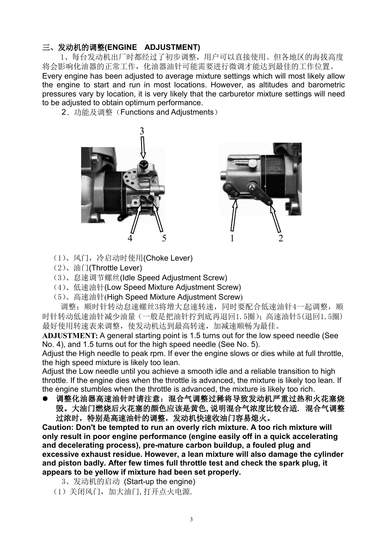### 三、发动机的调整**(ENGINE ADJUSTMENT)**

1、每台发动机出厂时都经过了初步调整,用户可以直接使用。但各地区的海拔高度 将会影响化油器的正常工作,化油器油针可能需要进行微调才能达到最佳的工作位置。 Every engine has been adjusted to average mixture settings which will most likely allow the engine to start and run in most locations. However, as altitudes and barometric pressures vary by location, it is very likely that the carburetor mixture settings will need to be adjusted to obtain optimum performance.

2、功能及调整(Functions and Adjustments)





- (1)、风门,冷启动时使用(Choke Lever)
- (2)、油门(Throttle Lever)
- (3)、怠速调节螺丝(Idle Speed Adjustment Screw)
- (4)、低速油针(Low SpeedMixture Adjustment Screw)
- (5)、高速油针(High Speed Mixture Adjustment Screw)

调整:顺时针转动怠速螺丝3将增大怠速转速,同时要配合低速油针4一起调整,顺 时针转动低速油针减少油量(一般是把油针拧到底再退回1.5圈);高速油针5(退回1.5圈) 最好使用转速表来调整, 使发动机达到最高转速, 加减速顺畅为最佳。

ADJUSTMENT: A general starting point is 1.5 turns out for the low speed needle (See No. 4), and 1.5 turns out for the high speed needle (See No. 5).

Adjust the High needle to peak rpm. If ever the engine slows or dies while at full throttle, the high speed mixture is likely too lean.

Adjust the Low needle until you achieve a smooth idle and a reliable transition to high throttle. If the engine dies when the throttle is advanced, the mixture is likely too lean. If the engine stumbles when the throttle is advanced, the mixture is likely too rich.

● 调整化油器高速油针时请注意: 混合气调整过稀将导致发动机严重过热和火花塞烧 毁。大油门燃烧后火花塞的颜色应该是黄色,说明混合气浓度比较合适. 混合气调整 过浓时,特别是高速油针的调整,发动机快速收油门容易熄火。

**Caution: Don't be tempted to run an overly rich mixture. A too rich mixture will only result in poor engine performance (engine easily off in a quick accelerating and decelerating process), pre-mature carbon buildup, a fouled plug and excessive exhaust residue. However, a lean mixture will also damage the cylinder and piston badly. After few times full throttle test and check the spark plug, it appears to be yellow ifmixture had been set properly.**

- 3、发动机的启动 (Start-up the engine)
- (1)关闭风门,加大油门,打开点火电源.